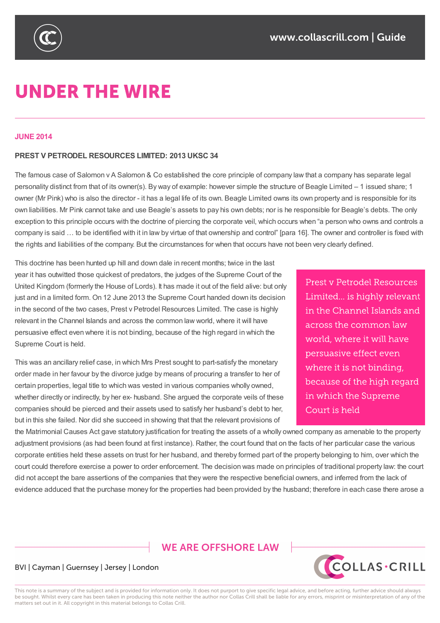

# **UNDER THE WIRE**

#### **JUNE 2014**

#### **PREST V PETRODEL RESOURCES LIMITED: 2013 UKSC 34**

The famous case of Salomon v A Salomon & Co established the core principle of company law that a company has separate legal personality distinct from that of its owner(s). By way of example: however simple the structure of Beagle Limited – 1 issued share; 1 owner (Mr Pink) who is also the director - it has a legal life of its own. Beagle Limited owns its own property and is responsible for its own liabilities. Mr Pink cannot take and use Beagle's assets to pay his own debts; nor is he responsible for Beagle's debts. The only exception to this principle occurs with the doctrine of piercing the corporate veil, which occurs when "a person who owns and controls a company is said … to be identified with it in law by virtue of that ownership and control" [para 16]. The owner and controller is fixed with the rights and liabilities of the company. But the circumstances for when that occurs have not been very clearly defined.

This doctrine has been hunted up hill and down dale in recent months; twice in the last year it has outwitted those quickest of predators, the judges of the Supreme Court of the United Kingdom (formerly the House of Lords). It has made it out of the field alive: but only just and in a limited form. On 12 June 2013 the Supreme Court handed down its decision in the second of the two cases, Prest v Petrodel Resources Limited. The case is highly relevant in the Channel Islands and across the common law world, where it will have persuasive effect even where it is not binding, because of the high regard in which the Supreme Court is held.

This was an ancillary relief case, in which Mrs Prest sought to part-satisfy the monetary order made in her favour by the divorce judge by means of procuring a transfer to her of certain properties, legal title to which was vested in various companies wholly owned, whether directly or indirectly, by her ex- husband. She argued the corporate veils of these companies should be pierced and their assets used to satisfy her husband's debt to her, but in this she failed. Nor did she succeed in showing that that the relevant provisions of

Prest y Petrodel Resources Limited... is highly relevant in the Channel Islands and across the common law world, where it will have persuasive effect even where it is not binding. because of the high regard in which the Supreme Court is held

the Matrimonial Causes Act gave statutory justification for treating the assets of a wholly owned company as amenable to the property adjustment provisions (as had been found at first instance). Rather, the court found that on the facts of her particular case the various corporate entities held these assets on trust for her husband, and thereby formed part of the property belonging to him, over which the court could therefore exercise a power to order enforcement. The decision was made on principles of traditional property law: the court did not accept the bare assertions of the companies that they were the respective beneficial owners, and inferred from the lack of evidence adduced that the purchase money for the properties had been provided by the husband; therefore in each case there arose a

## **WE ARE OFFSHORE LAW**



#### BVI | Cayman | Guernsey | Jersey | London

This note is a summary of the subject and is provided for information only. It does not purport to give specific legal advice, and before acting, further advice should always be sought. Whilst every care has been taken in producing this note neither the author nor Collas Crill shall be liable for any errors, misprint or misinterpretation of any of the matters set out in it. All copyright in this material belongs to Collas Crill.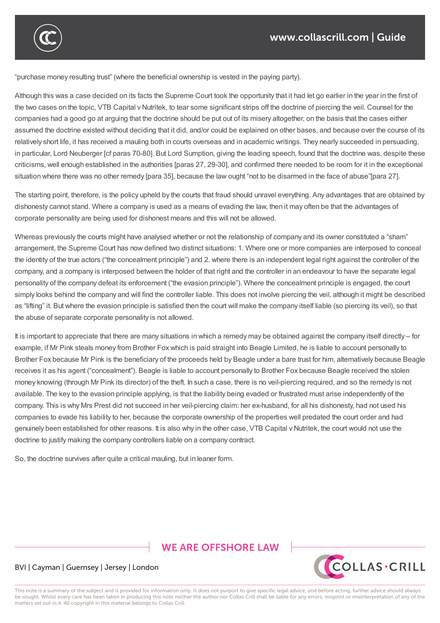

Although this was a case decided on its facts the Supreme Court took the opportunity that it had let go earlier in the year in the first of the two cases on the topic, VTB Capital v Nutritek, to tear some significant strips off the doctrine of piercing the veil. Counsel for the companies had a good go at arguing that the doctrine should be put out of its misery altogether, on the basis that the cases either assumed the doctrine existed without deciding that it did, and/or could be explained on other bases, and because over the course of its relatively short life, it has received a mauling both in courts overseas and in academic writings. They nearly succeeded in persuading, in particular, Lord Neuberger [cf paras 70-80]. But Lord Sumption, giving the leading speech, found that the doctrine was, despite these criticisms, well enough established in the authorities [paras 27, 29-30], and confirmed there needed to be room for it in the exceptional situation where there was no other remedy [para 35], because the law ought "not to be disarmed in the face of abuse"[para 27].

corporate entities held these assets on trust for her husband, and thereby formed part of the property belonging to him, over which the

evidence adduced that the purchase money for the properties had been provided by the husband; therefore in each case there arose a

The starting point, therefore, is the policy upheld by the courts that fraud should unravel everything. Any advantages that are obtained by dishonesty cannot stand. Where a company is used as a means of evading the law, then it may often be that the advantages of corporate personality are being used for dishonest means and this will not be allowed.

Whereas previously the courts might have analysed whether or not the relationship of company and its owner constituted a "sham" arrangement, the Supreme Court has now defined two distinct situations: 1. Where one or more companies are interposed to conceal the identity of the true actors ("the concealment principle") and 2. where there is an independent legal right against the controller of the company, and a company is interposed between the holder of that right and the controller in an endeavour to have the separate legal personality of the company defeat its enforcement ("the evasion principle"). Where the concealment principle is engaged, the court simply looks behind the company and will find the controller liable. This does not involve piercing the veil, although it might be described as "lifting" it. But where the evasion principle is satisfied then the court will make the company itself liable (so piercing its veil), so that the abuse of separate corporate personality is not allowed.

It is important to appreciate that there are many situations in which a remedy may be obtained against the company itself directly – for example, if Mr Pink steals money from Brother Fox which is paid straight into Beagle Limited, he is liable to account personally to Brother Fox because Mr Pink is the beneficiary of the proceeds held by Beagle under a bare trust for him, alternatively because Beagle receives it as his agent ("concealment"). Beagle is liable to account personally to Brother Fox because Beagle received the stolen money knowing (through Mr Pink its director) of the theft. In such a case, there is no veil-piercing required, and so the remedy is not available. The key to the evasion principle applying, is that the liability being evaded or frustrated must arise independently of the company. This is why Mrs Prest did not succeed in her veil-piercing claim: her ex-husband, for all his dishonesty, had not used his companies to evade his liability to her, because the corporate ownership of the properties well predated the court order and had genuinely been established for other reasons. It is also why in the other case, VTB Capital v Nutritek, the court would not use the doctrine to justify making the company controllers liable on a company contract.

So, the doctrine survives after quite a critical mauling, but in leaner form.

# **WE ARE OFFSHORE LAW**



#### BVI | Cayman | Guernsey | Jersey | London

This note is a summary of the subject and is provided for information only. It does not purport to give specific legal advice, and before acting, further advice should always be sought. Whilst every care has been taken in producing this note neither the author nor Collas Crill shall be liable for any errors, misprint or misinterpretation of any of the matters set out in it. All copyright in this material belongs to Collas Crill.